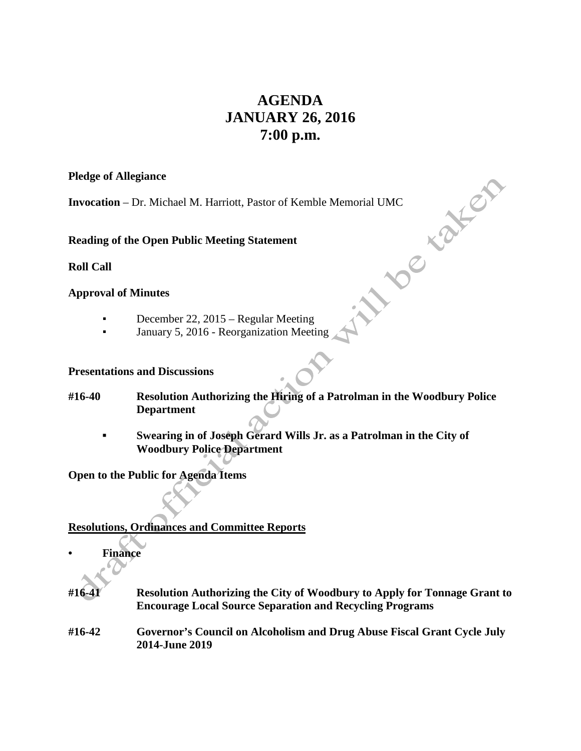# **AGENDA JANUARY 26, 2016 7:00 p.m.**

#### **Pledge of Allegiance**

**Invocation** – Dr. Michael M. Harriott, Pastor of Kemble Memorial UMC<br> **Reading of the Open Public Meeting Statement**<br> **Roll Call**<br> **Approval of Minutes** 

**Reading of the Open Public Meeting Statement**

**Roll Call**

### **Approval of Minutes**

- December 22, 2015 Regular Meeting
- January 5, 2016 Reorganization Meeting

#### **Presentations and Discussions**

- **#16-40 Resolution Authorizing the Hiring of a Patrolman in the Woodbury Police Department**
	- **▪ Swearing in of Joseph Gerard Wills Jr. as a Patrolman in the City of Woodbury Police Department**

**Open to the Public for Agenda Items**

## **Resolutions, Ordinances and Committee Reports**

- **• Finance**
- **#16-41 Resolution Authorizing the City of Woodbury to Apply for Tonnage Grant to Encourage Local Source Separation and Recycling Programs**
- **#16-42 Governor's Council on Alcoholism and Drug Abuse Fiscal Grant Cycle July 2014-June 2019**